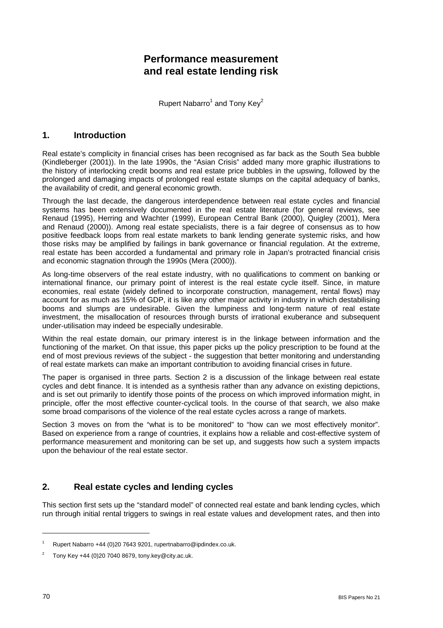# **Performance measurement and real estate lending risk**

Rupert Nabarro<sup>1</sup> and Tony Key<sup>2</sup>

## **1. Introduction**

Real estate's complicity in financial crises has been recognised as far back as the South Sea bubble (Kindleberger (2001)). In the late 1990s, the "Asian Crisis" added many more graphic illustrations to the history of interlocking credit booms and real estate price bubbles in the upswing, followed by the prolonged and damaging impacts of prolonged real estate slumps on the capital adequacy of banks, the availability of credit, and general economic growth.

Through the last decade, the dangerous interdependence between real estate cycles and financial systems has been extensively documented in the real estate literature (for general reviews, see Renaud (1995), Herring and Wachter (1999), European Central Bank (2000), Quigley (2001), Mera and Renaud (2000)). Among real estate specialists, there is a fair degree of consensus as to how positive feedback loops from real estate markets to bank lending generate systemic risks, and how those risks may be amplified by failings in bank governance or financial regulation. At the extreme, real estate has been accorded a fundamental and primary role in Japan's protracted financial crisis and economic stagnation through the 1990s (Mera (2000)).

As long-time observers of the real estate industry, with no qualifications to comment on banking or international finance, our primary point of interest is the real estate cycle itself. Since, in mature economies, real estate (widely defined to incorporate construction, management, rental flows) may account for as much as 15% of GDP, it is like any other major activity in industry in which destabilising booms and slumps are undesirable. Given the lumpiness and long-term nature of real estate investment, the misallocation of resources through bursts of irrational exuberance and subsequent under-utilisation may indeed be especially undesirable.

Within the real estate domain, our primary interest is in the linkage between information and the functioning of the market. On that issue, this paper picks up the policy prescription to be found at the end of most previous reviews of the subject - the suggestion that better monitoring and understanding of real estate markets can make an important contribution to avoiding financial crises in future.

The paper is organised in three parts. Section 2 is a discussion of the linkage between real estate cycles and debt finance. It is intended as a synthesis rather than any advance on existing depictions, and is set out primarily to identify those points of the process on which improved information might, in principle, offer the most effective counter-cyclical tools. In the course of that search, we also make some broad comparisons of the violence of the real estate cycles across a range of markets.

Section 3 moves on from the "what is to be monitored" to "how can we most effectively monitor". Based on experience from a range of countries, it explains how a reliable and cost-effective system of performance measurement and monitoring can be set up, and suggests how such a system impacts upon the behaviour of the real estate sector.

## **2. Real estate cycles and lending cycles**

This section first sets up the "standard model" of connected real estate and bank lending cycles, which run through initial rental triggers to swings in real estate values and development rates, and then into

l

<sup>1</sup> Rupert Nabarro +44 (0)20 7643 9201, rupertnabarro@ipdindex.co.uk.

<sup>2</sup> Tony Key +44 (0)20 7040 8679, tony.key@city.ac.uk.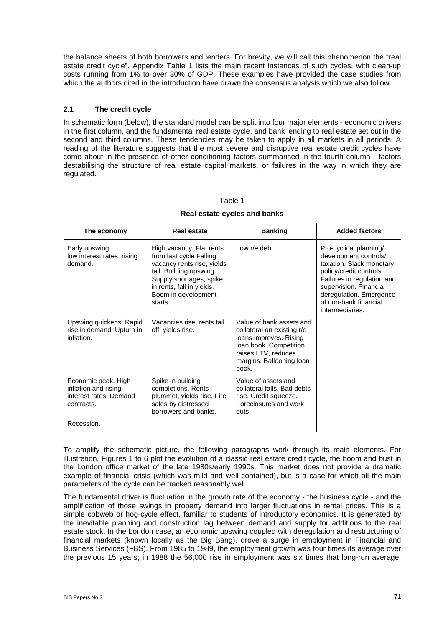the balance sheets of both borrowers and lenders. For brevity, we will call this phenomenon the "real estate credit cycle". Appendix Table 1 lists the main recent instances of such cycles, with clean-up costs running from 1% to over 30% of GDP. These examples have provided the case studies from which the authors cited in the introduction have drawn the consensus analysis which we also follow.

## **2.1 The credit cycle**

In schematic form (below), the standard model can be split into four major elements - economic drivers in the first column, and the fundamental real estate cycle, and bank lending to real estate set out in the second and third columns. These tendencies may be taken to apply in all markets in all periods. A reading of the literature suggests that the most severe and disruptive real estate credit cycles have come about in the presence of other conditioning factors summarised in the fourth column - factors destabilising the structure of real estate capital markets, or failures in the way in which they are regulated.

| The economy                                                                         | <b>Real estate</b>                                                                                                                                                                                     | <b>Banking</b>                                                                                                                                                         | <b>Added factors</b>                                                                                                                                                                                                                  |
|-------------------------------------------------------------------------------------|--------------------------------------------------------------------------------------------------------------------------------------------------------------------------------------------------------|------------------------------------------------------------------------------------------------------------------------------------------------------------------------|---------------------------------------------------------------------------------------------------------------------------------------------------------------------------------------------------------------------------------------|
| Early upswing:<br>low interest rates, rising<br>demand.                             | High vacancy. Flat rents<br>from last cycle Falling<br>vacancy rents rise, yields<br>fall. Building upswing.<br>Supply shortages, spike<br>in rents, fall in yields.<br>Boom in development<br>starts. | Low r/e debt.                                                                                                                                                          | Pro-cyclical planning/<br>development controls/<br>taxation. Slack monetary<br>policy/credit controls.<br>Failures in regulation and<br>supervision. Financial<br>deregulation. Emergence<br>of non-bank financial<br>intermediaries. |
| Upswing quickens. Rapid<br>rise in demand. Upturn in<br>inflation.                  | Vacancies rise, rents tail<br>off, yields rise.                                                                                                                                                        | Value of bank assets and<br>collateral on existing r/e<br>loans improves. Rising<br>loan book. Competition<br>raises LTV, reduces<br>margins. Ballooning loan<br>book. |                                                                                                                                                                                                                                       |
| Economic peak. High<br>inflation and rising<br>interest rates. Demand<br>contracts. | Spike in building<br>completions. Rents<br>plummet, yields rise. Fire<br>sales by distressed<br>borrowers and banks.                                                                                   | Value of assets and<br>collateral falls. Bad debts<br>rise. Credit squeeze.<br>Foreclosures and work<br>outs.                                                          |                                                                                                                                                                                                                                       |
| Recession.                                                                          |                                                                                                                                                                                                        |                                                                                                                                                                        |                                                                                                                                                                                                                                       |

## Table 1 **Real estate cycles and banks**

To amplify the schematic picture, the following paragraphs work through its main elements. For illustration, Figures 1 to 6 plot the evolution of a classic real estate credit cycle, the boom and bust in the London office market of the late 1980s/early 1990s. This market does not provide a dramatic example of financial crisis (which was mild and well contained), but is a case for which all the main parameters of the cycle can be tracked reasonably well.

The fundamental driver is fluctuation in the growth rate of the economy - the business cycle - and the amplification of those swings in property demand into larger fluctuations in rental prices. This is a simple cobweb or hog-cycle effect, familiar to students of introductory economics. It is generated by the inevitable planning and construction lag between demand and supply for additions to the real estate stock. In the London case, an economic upswing coupled with deregulation and restructuring of financial markets (known locally as the Big Bang), drove a surge in employment in Financial and Business Services (FBS). From 1985 to 1989, the employment growth was four times its average over the previous 15 years; in 1988 the 56,000 rise in employment was six times that long-run average.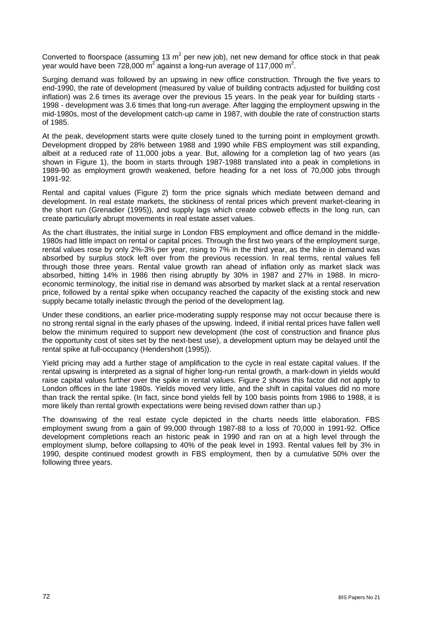Converted to floorspace (assuming 13 m<sup>2</sup> per new job), net new demand for office stock in that peak year would have been 728,000 m<sup>2</sup> against a long-run average of 117,000 m<sup>2</sup>.

Surging demand was followed by an upswing in new office construction. Through the five years to end-1990, the rate of development (measured by value of building contracts adjusted for building cost inflation) was 2.6 times its average over the previous 15 years. In the peak year for building starts - 1998 - development was 3.6 times that long-run average. After lagging the employment upswing in the mid-1980s, most of the development catch-up came in 1987, with double the rate of construction starts of 1985.

At the peak, development starts were quite closely tuned to the turning point in employment growth. Development dropped by 28% between 1988 and 1990 while FBS employment was still expanding, albeit at a reduced rate of 11,000 jobs a year. But, allowing for a completion lag of two years (as shown in Figure 1), the boom in starts through 1987-1988 translated into a peak in completions in 1989-90 as employment growth weakened, before heading for a net loss of 70,000 jobs through 1991-92.

Rental and capital values (Figure 2) form the price signals which mediate between demand and development. In real estate markets, the stickiness of rental prices which prevent market-clearing in the short run (Grenadier (1995)), and supply lags which create cobweb effects in the long run, can create particularly abrupt movements in real estate asset values.

As the chart illustrates, the initial surge in London FBS employment and office demand in the middle-1980s had little impact on rental or capital prices. Through the first two years of the employment surge, rental values rose by only 2%-3% per year, rising to 7% in the third year, as the hike in demand was absorbed by surplus stock left over from the previous recession. In real terms, rental values fell through those three years. Rental value growth ran ahead of inflation only as market slack was absorbed, hitting 14% in 1986 then rising abruptly by 30% in 1987 and 27% in 1988. In microeconomic terminology, the initial rise in demand was absorbed by market slack at a rental reservation price, followed by a rental spike when occupancy reached the capacity of the existing stock and new supply became totally inelastic through the period of the development lag.

Under these conditions, an earlier price-moderating supply response may not occur because there is no strong rental signal in the early phases of the upswing. Indeed, if initial rental prices have fallen well below the minimum required to support new development (the cost of construction and finance plus the opportunity cost of sites set by the next-best use), a development upturn may be delayed until the rental spike at full-occupancy (Hendershott (1995)).

Yield pricing may add a further stage of amplification to the cycle in real estate capital values. If the rental upswing is interpreted as a signal of higher long-run rental growth, a mark-down in yields would raise capital values further over the spike in rental values. Figure 2 shows this factor did not apply to London offices in the late 1980s. Yields moved very little, and the shift in capital values did no more than track the rental spike. (In fact, since bond yields fell by 100 basis points from 1986 to 1988, it is more likely than rental growth expectations were being revised down rather than up.)

The downswing of the real estate cycle depicted in the charts needs little elaboration. FBS employment swung from a gain of 99,000 through 1987-88 to a loss of 70,000 in 1991-92. Office development completions reach an historic peak in 1990 and ran on at a high level through the employment slump, before collapsing to 40% of the peak level in 1993. Rental values fell by 3% in 1990, despite continued modest growth in FBS employment, then by a cumulative 50% over the following three years.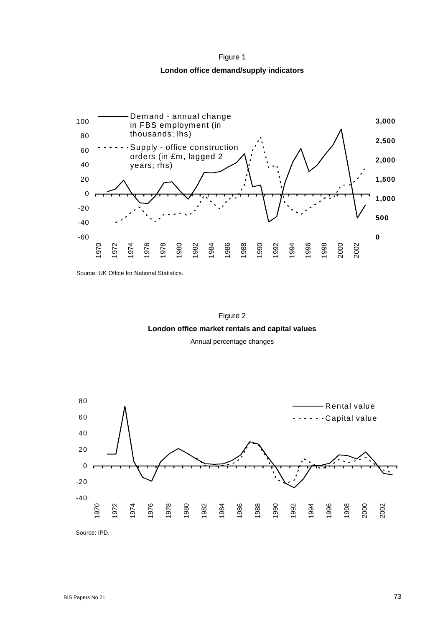



Source: UK Office for National Statistics.



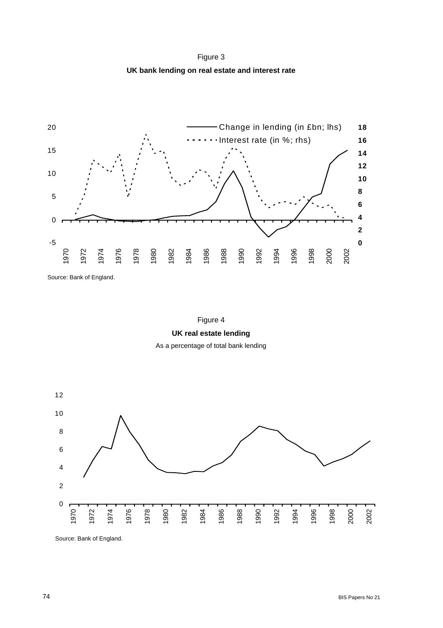Figure 3 **UK bank lending on real estate and interest rate** 



Source: Bank of England.





Source: Bank of England.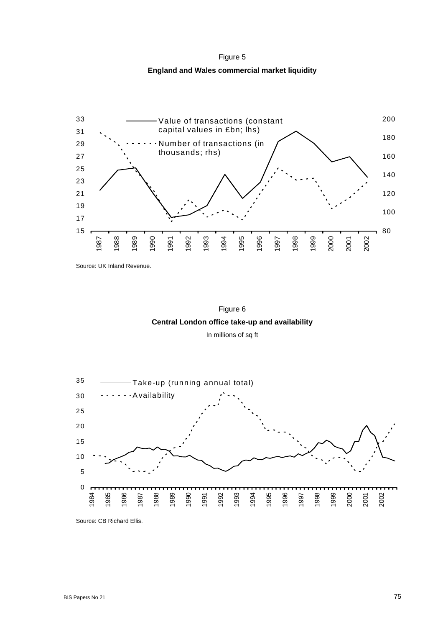Figure 5 **England and Wales commercial market liquidity** 



Source: UK Inland Revenue.



In millions of sq ft



Source: CB Richard Ellis.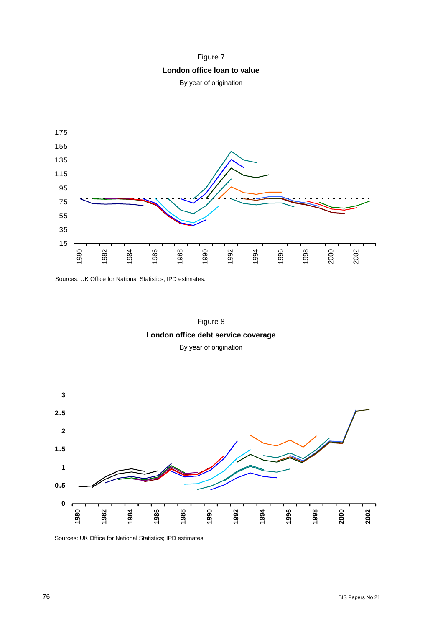



Sources: UK Office for National Statistics; IPD estimates.





Sources: UK Office for National Statistics; IPD estimates.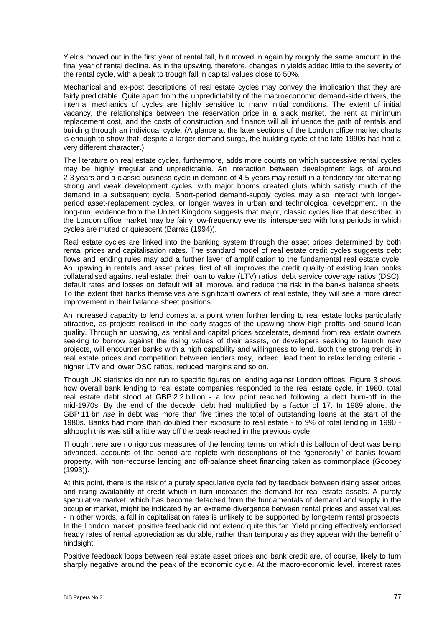Yields moved out in the first year of rental fall, but moved in again by roughly the same amount in the final year of rental decline. As in the upswing, therefore, changes in yields added little to the severity of the rental cycle, with a peak to trough fall in capital values close to 50%.

Mechanical and ex-post descriptions of real estate cycles may convey the implication that they are fairly predictable. Quite apart from the unpredictability of the macroeconomic demand-side drivers, the internal mechanics of cycles are highly sensitive to many initial conditions. The extent of initial vacancy, the relationships between the reservation price in a slack market, the rent at minimum replacement cost, and the costs of construction and finance will all influence the path of rentals and building through an individual cycle. (A glance at the later sections of the London office market charts is enough to show that, despite a larger demand surge, the building cycle of the late 1990s has had a very different character.)

The literature on real estate cycles, furthermore, adds more counts on which successive rental cycles may be highly irregular and unpredictable. An interaction between development lags of around 2-3 years and a classic business cycle in demand of 4-5 years may result in a tendency for alternating strong and weak development cycles, with major booms created gluts which satisfy much of the demand in a subsequent cycle. Short-period demand-supply cycles may also interact with longerperiod asset-replacement cycles, or longer waves in urban and technological development. In the long-run, evidence from the United Kingdom suggests that major, classic cycles like that described in the London office market may be fairly low-frequency events, interspersed with long periods in which cycles are muted or quiescent (Barras (1994)).

Real estate cycles are linked into the banking system through the asset prices determined by both rental prices and capitalisation rates. The standard model of real estate credit cycles suggests debt flows and lending rules may add a further layer of amplification to the fundamental real estate cycle. An upswing in rentals and asset prices, first of all, improves the credit quality of existing loan books collateralised against real estate: their loan to value (LTV) ratios, debt service coverage ratios (DSC), default rates and losses on default will all improve, and reduce the risk in the banks balance sheets. To the extent that banks themselves are significant owners of real estate, they will see a more direct improvement in their balance sheet positions.

An increased capacity to lend comes at a point when further lending to real estate looks particularly attractive, as projects realised in the early stages of the upswing show high profits and sound loan quality. Through an upswing, as rental and capital prices accelerate, demand from real estate owners seeking to borrow against the rising values of their assets, or developers seeking to launch new projects, will encounter banks with a high capability and willingness to lend. Both the strong trends in real estate prices and competition between lenders may, indeed, lead them to relax lending criteria higher LTV and lower DSC ratios, reduced margins and so on.

Though UK statistics do not run to specific figures on lending against London offices, Figure 3 shows how overall bank lending to real estate companies responded to the real estate cycle. In 1980, total real estate debt stood at GBP 2.2 billion - a low point reached following a debt burn-off in the mid-1970s. By the end of the decade, debt had multiplied by a factor of 17. In 1989 alone, the GBP 11 bn *rise* in debt was more than five times the total of outstanding loans at the start of the 1980s. Banks had more than doubled their exposure to real estate - to 9% of total lending in 1990 although this was still a little way off the peak reached in the previous cycle.

Though there are no rigorous measures of the lending terms on which this balloon of debt was being advanced, accounts of the period are replete with descriptions of the "generosity" of banks toward property, with non-recourse lending and off-balance sheet financing taken as commonplace (Goobey (1993)).

At this point, there is the risk of a purely speculative cycle fed by feedback between rising asset prices and rising availability of credit which in turn increases the demand for real estate assets. A purely speculative market, which has become detached from the fundamentals of demand and supply in the occupier market, might be indicated by an extreme divergence between rental prices and asset values - in other words, a fall in capitalisation rates is unlikely to be supported by long-term rental prospects. In the London market, positive feedback did not extend quite this far. Yield pricing effectively endorsed heady rates of rental appreciation as durable, rather than temporary as they appear with the benefit of hindsight.

Positive feedback loops between real estate asset prices and bank credit are, of course, likely to turn sharply negative around the peak of the economic cycle. At the macro-economic level, interest rates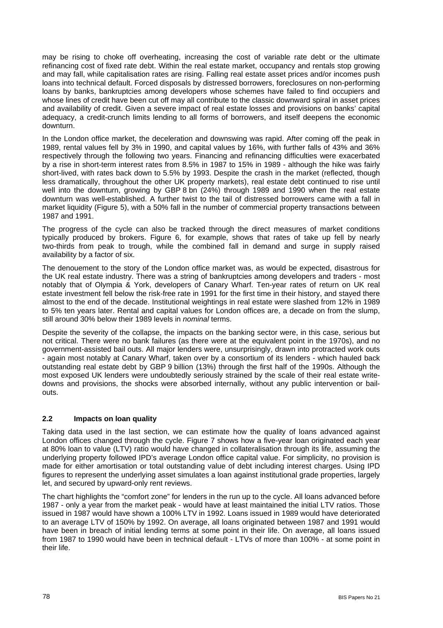may be rising to choke off overheating, increasing the cost of variable rate debt or the ultimate refinancing cost of fixed rate debt. Within the real estate market, occupancy and rentals stop growing and may fall, while capitalisation rates are rising. Falling real estate asset prices and/or incomes push loans into technical default. Forced disposals by distressed borrowers, foreclosures on non-performing loans by banks, bankruptcies among developers whose schemes have failed to find occupiers and whose lines of credit have been cut off may all contribute to the classic downward spiral in asset prices and availability of credit. Given a severe impact of real estate losses and provisions on banks' capital adequacy, a credit-crunch limits lending to all forms of borrowers, and itself deepens the economic downturn.

In the London office market, the deceleration and downswing was rapid. After coming off the peak in 1989, rental values fell by 3% in 1990, and capital values by 16%, with further falls of 43% and 36% respectively through the following two years. Financing and refinancing difficulties were exacerbated by a rise in short-term interest rates from 8.5% in 1987 to 15% in 1989 - although the hike was fairly short-lived, with rates back down to 5.5% by 1993. Despite the crash in the market (reflected, though less dramatically, throughout the other UK property markets), real estate debt continued to rise until well into the downturn, growing by GBP 8 bn (24%) through 1989 and 1990 when the real estate downturn was well-established. A further twist to the tail of distressed borrowers came with a fall in market liquidity (Figure 5), with a 50% fall in the number of commercial property transactions between 1987 and 1991.

The progress of the cycle can also be tracked through the direct measures of market conditions typically produced by brokers. Figure 6, for example, shows that rates of take up fell by nearly two-thirds from peak to trough, while the combined fall in demand and surge in supply raised availability by a factor of six.

The denouement to the story of the London office market was, as would be expected, disastrous for the UK real estate industry. There was a string of bankruptcies among developers and traders - most notably that of Olympia & York, developers of Canary Wharf. Ten-year rates of return on UK real estate investment fell below the risk-free rate in 1991 for the first time in their history, and stayed there almost to the end of the decade. Institutional weightings in real estate were slashed from 12% in 1989 to 5% ten years later. Rental and capital values for London offices are, a decade on from the slump, still around 30% below their 1989 levels in *nominal* terms.

Despite the severity of the collapse, the impacts on the banking sector were, in this case, serious but not critical. There were no bank failures (as there were at the equivalent point in the 1970s), and no government-assisted bail outs. All major lenders were, unsurprisingly, drawn into protracted work outs - again most notably at Canary Wharf, taken over by a consortium of its lenders - which hauled back outstanding real estate debt by GBP 9 billion (13%) through the first half of the 1990s. Although the most exposed UK lenders were undoubtedly seriously strained by the scale of their real estate writedowns and provisions, the shocks were absorbed internally, without any public intervention or bailouts.

### **2.2 Impacts on loan quality**

Taking data used in the last section, we can estimate how the quality of loans advanced against London offices changed through the cycle. Figure 7 shows how a five-year loan originated each year at 80% loan to value (LTV) ratio would have changed in collateralisation through its life, assuming the underlying property followed IPD's average London office capital value. For simplicity, no provision is made for either amortisation or total outstanding value of debt including interest charges. Using IPD figures to represent the underlying asset simulates a loan against institutional grade properties, largely let, and secured by upward-only rent reviews.

The chart highlights the "comfort zone" for lenders in the run up to the cycle. All loans advanced before 1987 - only a year from the market peak - would have at least maintained the initial LTV ratios. Those issued in 1987 would have shown a 100% LTV in 1992. Loans issued in 1989 would have deteriorated to an average LTV of 150% by 1992. On average, all loans originated between 1987 and 1991 would have been in breach of initial lending terms at some point in their life. On average, all loans issued from 1987 to 1990 would have been in technical default - LTVs of more than 100% - at some point in their life.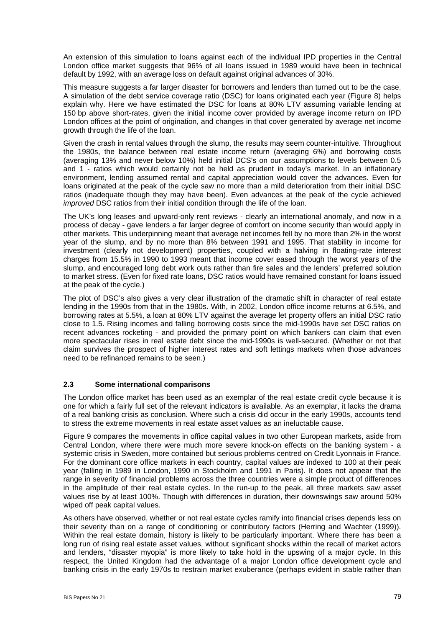An extension of this simulation to loans against each of the individual IPD properties in the Central London office market suggests that 96% of all loans issued in 1989 would have been in technical default by 1992, with an average loss on default against original advances of 30%.

This measure suggests a far larger disaster for borrowers and lenders than turned out to be the case. A simulation of the debt service coverage ratio (DSC) for loans originated each year (Figure 8) helps explain why. Here we have estimated the DSC for loans at 80% LTV assuming variable lending at 150 bp above short-rates, given the initial income cover provided by average income return on IPD London offices at the point of origination, and changes in that cover generated by average net income growth through the life of the loan.

Given the crash in rental values through the slump, the results may seem counter-intuitive. Throughout the 1980s, the balance between real estate income return (averaging 6%) and borrowing costs (averaging 13% and never below 10%) held initial DCS's on our assumptions to levels between 0.5 and 1 - ratios which would certainly not be held as prudent in today's market. In an inflationary environment, lending assumed rental and capital appreciation would cover the advances. Even for loans originated at the peak of the cycle saw no more than a mild deterioration from their initial DSC ratios (inadequate though they may have been). Even advances at the peak of the cycle achieved *improved* DSC ratios from their initial condition through the life of the loan.

The UK's long leases and upward-only rent reviews - clearly an international anomaly, and now in a process of decay - gave lenders a far larger degree of comfort on income security than would apply in other markets. This underpinning meant that average net incomes fell by no more than 2% in the worst year of the slump, and by no more than 8% between 1991 and 1995. That stability in income for investment (clearly not development) properties, coupled with a halving in floating-rate interest charges from 15.5% in 1990 to 1993 meant that income cover eased through the worst years of the slump, and encouraged long debt work outs rather than fire sales and the lenders' preferred solution to market stress. (Even for fixed rate loans, DSC ratios would have remained constant for loans issued at the peak of the cycle.)

The plot of DSC's also gives a very clear illustration of the dramatic shift in character of real estate lending in the 1990s from that in the 1980s. With, in 2002, London office income returns at 6.5%, and borrowing rates at 5.5%, a loan at 80% LTV against the average let property offers an initial DSC ratio close to 1.5. Rising incomes and falling borrowing costs since the mid-1990s have set DSC ratios on recent advances rocketing - and provided the primary point on which bankers can claim that even more spectacular rises in real estate debt since the mid-1990s is well-secured. (Whether or not that claim survives the prospect of higher interest rates and soft lettings markets when those advances need to be refinanced remains to be seen.)

### **2.3 Some international comparisons**

The London office market has been used as an exemplar of the real estate credit cycle because it is one for which a fairly full set of the relevant indicators is available. As an exemplar, it lacks the drama of a real banking crisis as conclusion. Where such a crisis did occur in the early 1990s, accounts tend to stress the extreme movements in real estate asset values as an ineluctable cause.

Figure 9 compares the movements in office capital values in two other European markets, aside from Central London, where there were much more severe knock-on effects on the banking system - a systemic crisis in Sweden, more contained but serious problems centred on Credit Lyonnais in France. For the dominant core office markets in each country, capital values are indexed to 100 at their peak year (falling in 1989 in London, 1990 in Stockholm and 1991 in Paris). It does not appear that the range in severity of financial problems across the three countries were a simple product of differences in the amplitude of their real estate cycles. In the run-up to the peak, all three markets saw asset values rise by at least 100%. Though with differences in duration, their downswings saw around 50% wiped off peak capital values.

As others have observed, whether or not real estate cycles ramify into financial crises depends less on their severity than on a range of conditioning or contributory factors (Herring and Wachter (1999)). Within the real estate domain, history is likely to be particularly important. Where there has been a long run of rising real estate asset values, without significant shocks within the recall of market actors and lenders, "disaster myopia" is more likely to take hold in the upswing of a major cycle. In this respect, the United Kingdom had the advantage of a major London office development cycle and banking crisis in the early 1970s to restrain market exuberance (perhaps evident in stable rather than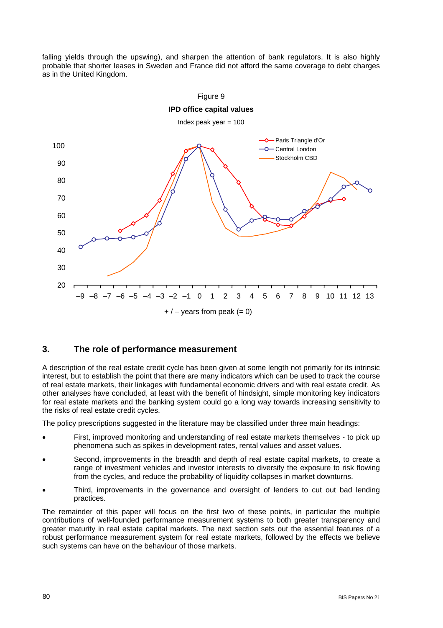falling yields through the upswing), and sharpen the attention of bank regulators. It is also highly probable that shorter leases in Sweden and France did not afford the same coverage to debt charges as in the United Kingdom.



## **3. The role of performance measurement**

A description of the real estate credit cycle has been given at some length not primarily for its intrinsic interest, but to establish the point that there are many indicators which can be used to track the course of real estate markets, their linkages with fundamental economic drivers and with real estate credit. As other analyses have concluded, at least with the benefit of hindsight, simple monitoring key indicators for real estate markets and the banking system could go a long way towards increasing sensitivity to the risks of real estate credit cycles.

The policy prescriptions suggested in the literature may be classified under three main headings:

- First, improved monitoring and understanding of real estate markets themselves to pick up phenomena such as spikes in development rates, rental values and asset values.
- Second, improvements in the breadth and depth of real estate capital markets, to create a range of investment vehicles and investor interests to diversify the exposure to risk flowing from the cycles, and reduce the probability of liquidity collapses in market downturns.
- Third, improvements in the governance and oversight of lenders to cut out bad lending practices.

The remainder of this paper will focus on the first two of these points, in particular the multiple contributions of well-founded performance measurement systems to both greater transparency and greater maturity in real estate capital markets. The next section sets out the essential features of a robust performance measurement system for real estate markets, followed by the effects we believe such systems can have on the behaviour of those markets.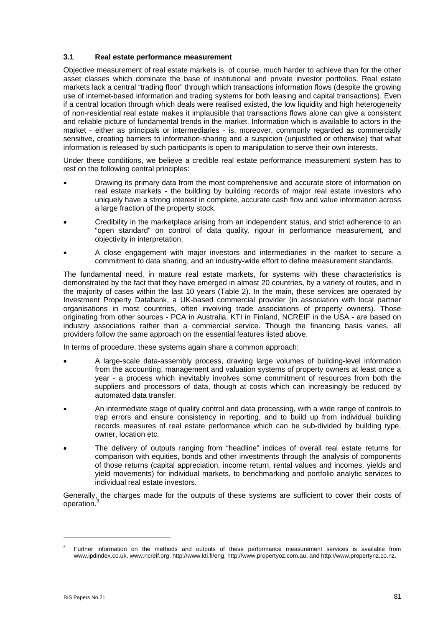#### **3.1 Real estate performance measurement**

Objective measurement of real estate markets is, of course, much harder to achieve than for the other asset classes which dominate the base of institutional and private investor portfolios. Real estate markets lack a central "trading floor" through which transactions information flows (despite the growing use of internet-based information and trading systems for both leasing and capital transactions). Even if a central location through which deals were realised existed, the low liquidity and high heterogeneity of non-residential real estate makes it implausible that transactions flows alone can give a consistent and reliable picture of fundamental trends in the market. Information which is available to actors in the market - either as principals or intermediaries - is, moreover, commonly regarded as commercially sensitive, creating barriers to information-sharing and a suspicion (unjustified or otherwise) that what information is released by such participants is open to manipulation to serve their own interests.

Under these conditions, we believe a credible real estate performance measurement system has to rest on the following central principles:

- Drawing its primary data from the most comprehensive and accurate store of information on real estate markets - the building by building records of major real estate investors who uniquely have a strong interest in complete, accurate cash flow and value information across a large fraction of the property stock.
- Credibility in the marketplace arising from an independent status, and strict adherence to an "open standard" on control of data quality, rigour in performance measurement, and objectivity in interpretation.
- A close engagement with major investors and intermediaries in the market to secure a commitment to data sharing, and an industry-wide effort to define measurement standards.

The fundamental need, in mature real estate markets, for systems with these characteristics is demonstrated by the fact that they have emerged in almost 20 countries, by a variety of routes, and in the majority of cases within the last 10 years (Table 2). In the main, these services are operated by Investment Property Databank, a UK-based commercial provider (in association with local partner organisations in most countries, often involving trade associations of property owners). Those originating from other sources - PCA in Australia, KTI in Finland, NCREIF in the USA - are based on industry associations rather than a commercial service. Though the financing basis varies, all providers follow the same approach on the essential features listed above.

In terms of procedure, these systems again share a common approach:

- A large-scale data-assembly process, drawing large volumes of building-level information from the accounting, management and valuation systems of property owners at least once a year - a process which inevitably involves some commitment of resources from both the suppliers and processors of data, though at costs which can increasingly be reduced by automated data transfer.
- An intermediate stage of quality control and data processing, with a wide range of controls to trap errors and ensure consistency in reporting, and to build up from individual building records measures of real estate performance which can be sub-divided by building type, owner, location etc.
- The delivery of outputs ranging from "headline" indices of overall real estate returns for comparison with equities, bonds and other investments through the analysis of components of those returns (capital appreciation, income return, rental values and incomes, yields and yield movements) for individual markets, to benchmarking and portfolio analytic services to individual real estate investors.

Generally, the charges made for the outputs of these systems are sufficient to cover their costs of operation.

l

<sup>3</sup> Further information on the methods and outputs of these performance measurement services is available from www.ipdindex.co.uk, www.ncreif.org, http://www.kti.fi/eng, http://www.propertyoz.com.au, and http://www.propertynz.co.nz.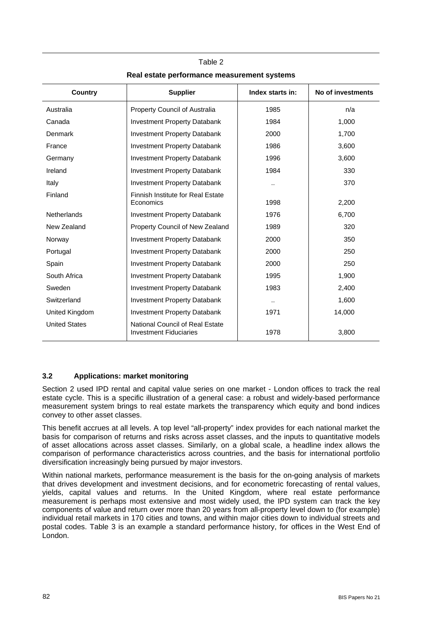| Country              | <b>Supplier</b>                                                  | Index starts in: | No of investments |
|----------------------|------------------------------------------------------------------|------------------|-------------------|
| Australia            | Property Council of Australia                                    | 1985             | n/a               |
| Canada               | <b>Investment Property Databank</b>                              | 1984             | 1,000             |
| Denmark              | <b>Investment Property Databank</b>                              | 2000             | 1,700             |
| France               | <b>Investment Property Databank</b>                              | 1986             | 3.600             |
| Germany              | <b>Investment Property Databank</b>                              | 1996             | 3,600             |
| Ireland              | <b>Investment Property Databank</b>                              | 1984             | 330               |
| Italy                | <b>Investment Property Databank</b>                              | $\ddotsc$        | 370               |
| Finland              | Finnish Institute for Real Estate<br>Economics                   | 1998             | 2,200             |
| <b>Netherlands</b>   | <b>Investment Property Databank</b>                              | 1976             | 6,700             |
| New Zealand          | Property Council of New Zealand                                  | 1989             | 320               |
| Norway               | <b>Investment Property Databank</b>                              | 2000             | 350               |
| Portugal             | <b>Investment Property Databank</b>                              | 2000             | 250               |
| Spain                | <b>Investment Property Databank</b>                              | 2000             | 250               |
| South Africa         | <b>Investment Property Databank</b>                              | 1995             | 1,900             |
| Sweden               | <b>Investment Property Databank</b>                              | 1983             | 2,400             |
| Switzerland          | <b>Investment Property Databank</b>                              |                  | 1,600             |
| United Kingdom       | <b>Investment Property Databank</b>                              | 1971             | 14,000            |
| <b>United States</b> | National Council of Real Estate<br><b>Investment Fiduciaries</b> | 1978             | 3,800             |

## Table 2 **Real estate performance measurement systems**

## **3.2 Applications: market monitoring**

Section 2 used IPD rental and capital value series on one market - London offices to track the real estate cycle. This is a specific illustration of a general case: a robust and widely-based performance measurement system brings to real estate markets the transparency which equity and bond indices convey to other asset classes.

This benefit accrues at all levels. A top level "all-property" index provides for each national market the basis for comparison of returns and risks across asset classes, and the inputs to quantitative models of asset allocations across asset classes. Similarly, on a global scale, a headline index allows the comparison of performance characteristics across countries, and the basis for international portfolio diversification increasingly being pursued by major investors.

Within national markets, performance measurement is the basis for the on-going analysis of markets that drives development and investment decisions, and for econometric forecasting of rental values, yields, capital values and returns. In the United Kingdom, where real estate performance measurement is perhaps most extensive and most widely used, the IPD system can track the key components of value and return over more than 20 years from all-property level down to (for example) individual retail markets in 170 cities and towns, and within major cities down to individual streets and postal codes. Table 3 is an example a standard performance history, for offices in the West End of London.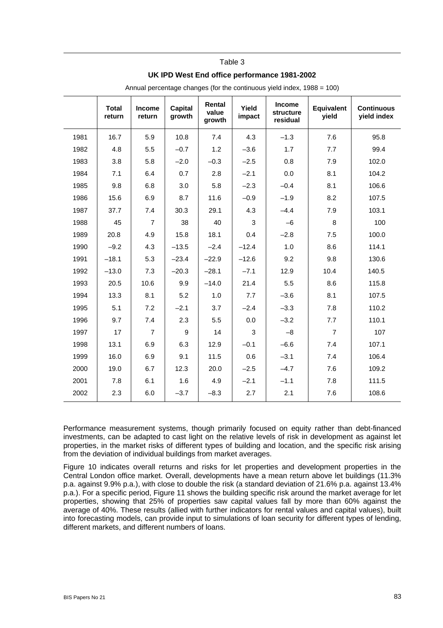#### Table 3

#### **UK IPD West End office performance 1981-2002**

|      | <b>Total</b><br>return | <b>Income</b><br>return | <b>Capital</b><br>growth | Rental<br>value<br>growth | Yield<br>impact | <b>Income</b><br><b>structure</b><br>residual | <b>Equivalent</b><br>yield | <b>Continuous</b><br>yield index |
|------|------------------------|-------------------------|--------------------------|---------------------------|-----------------|-----------------------------------------------|----------------------------|----------------------------------|
| 1981 | 16.7                   | 5.9                     | 10.8                     | 7.4                       | 4.3             | $-1.3$                                        | 7.6                        | 95.8                             |
| 1982 | 4.8                    | 5.5                     | $-0.7$                   | 1.2                       | $-3.6$          | 1.7                                           | 7.7                        | 99.4                             |
| 1983 | 3.8                    | 5.8                     | $-2.0$                   | $-0.3$                    | $-2.5$          | 0.8                                           | 7.9                        | 102.0                            |
| 1984 | 7.1                    | 6.4                     | 0.7                      | 2.8                       | $-2.1$          | 0.0                                           | 8.1                        | 104.2                            |
| 1985 | 9.8                    | 6.8                     | 3.0                      | 5.8                       | $-2.3$          | $-0.4$                                        | 8.1                        | 106.6                            |
| 1986 | 15.6                   | 6.9                     | 8.7                      | 11.6                      | $-0.9$          | $-1.9$                                        | 8.2                        | 107.5                            |
| 1987 | 37.7                   | 7.4                     | 30.3                     | 29.1                      | 4.3             | $-4.4$                                        | 7.9                        | 103.1                            |
| 1988 | 45                     | $\overline{7}$          | 38                       | 40                        | 3               | $-6$                                          | 8                          | 100                              |
| 1989 | 20.8                   | 4.9                     | 15.8                     | 18.1                      | 0.4             | $-2.8$                                        | 7.5                        | 100.0                            |
| 1990 | $-9.2$                 | 4.3                     | $-13.5$                  | $-2.4$                    | $-12.4$         | 1.0                                           | 8.6                        | 114.1                            |
| 1991 | $-18.1$                | 5.3                     | $-23.4$                  | $-22.9$                   | $-12.6$         | 9.2                                           | 9.8                        | 130.6                            |
| 1992 | $-13.0$                | 7.3                     | $-20.3$                  | $-28.1$                   | $-7.1$          | 12.9                                          | 10.4                       | 140.5                            |
| 1993 | 20.5                   | 10.6                    | 9.9                      | $-14.0$                   | 21.4            | 5.5                                           | 8.6                        | 115.8                            |
| 1994 | 13.3                   | 8.1                     | 5.2                      | 1.0                       | 7.7             | $-3.6$                                        | 8.1                        | 107.5                            |
| 1995 | 5.1                    | 7.2                     | $-2.1$                   | 3.7                       | $-2.4$          | $-3.3$                                        | 7.8                        | 110.2                            |
| 1996 | 9.7                    | 7.4                     | 2.3                      | 5.5                       | 0.0             | $-3.2$                                        | 7.7                        | 110.1                            |
| 1997 | 17                     | $\overline{7}$          | 9                        | 14                        | 3               | $-8$                                          | $\overline{7}$             | 107                              |
| 1998 | 13.1                   | 6.9                     | 6.3                      | 12.9                      | $-0.1$          | $-6.6$                                        | 7.4                        | 107.1                            |
| 1999 | 16.0                   | 6.9                     | 9.1                      | 11.5                      | 0.6             | $-3.1$                                        | 7.4                        | 106.4                            |
| 2000 | 19.0                   | 6.7                     | 12.3                     | 20.0                      | $-2.5$          | $-4.7$                                        | 7.6                        | 109.2                            |
| 2001 | 7.8                    | 6.1                     | 1.6                      | 4.9                       | $-2.1$          | $-1.1$                                        | 7.8                        | 111.5                            |
| 2002 | 2.3                    | 6.0                     | $-3.7$                   | $-8.3$                    | 2.7             | 2.1                                           | 7.6                        | 108.6                            |

Annual percentage changes (for the continuous yield index, 1988 = 100)

Performance measurement systems, though primarily focused on equity rather than debt-financed investments, can be adapted to cast light on the relative levels of risk in development as against let properties, in the market risks of different types of building and location, and the specific risk arising from the deviation of individual buildings from market averages.

Figure 10 indicates overall returns and risks for let properties and development properties in the Central London office market. Overall, developments have a mean return above let buildings (11.3% p.a. against 9.9% p.a.), with close to double the risk (a standard deviation of 21.6% p.a. against 13.4% p.a.). For a specific period, Figure 11 shows the building specific risk around the market average for let properties, showing that 25% of properties saw capital values fall by more than 60% against the average of 40%. These results (allied with further indicators for rental values and capital values), built into forecasting models, can provide input to simulations of loan security for different types of lending, different markets, and different numbers of loans.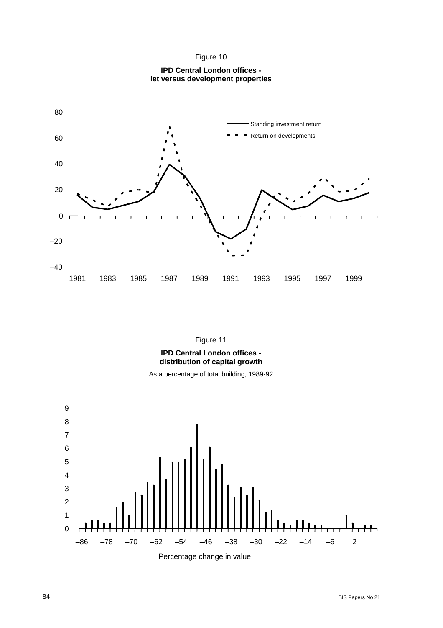

**IPD Central London offices let versus development properties** 



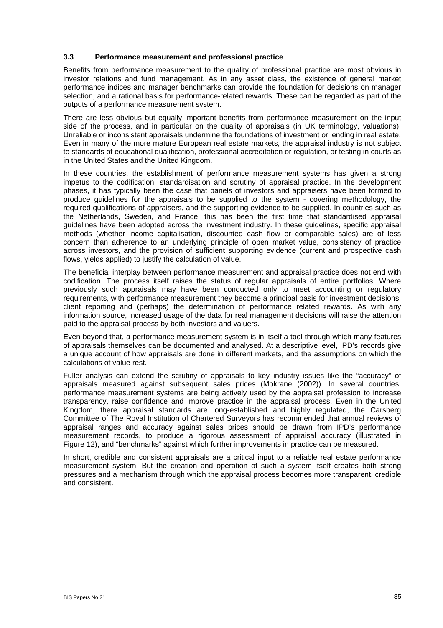#### **3.3 Performance measurement and professional practice**

Benefits from performance measurement to the quality of professional practice are most obvious in investor relations and fund management. As in any asset class, the existence of general market performance indices and manager benchmarks can provide the foundation for decisions on manager selection, and a rational basis for performance-related rewards. These can be regarded as part of the outputs of a performance measurement system.

There are less obvious but equally important benefits from performance measurement on the input side of the process, and in particular on the quality of appraisals (in UK terminology, valuations). Unreliable or inconsistent appraisals undermine the foundations of investment or lending in real estate. Even in many of the more mature European real estate markets, the appraisal industry is not subject to standards of educational qualification, professional accreditation or regulation, or testing in courts as in the United States and the United Kingdom.

In these countries, the establishment of performance measurement systems has given a strong impetus to the codification, standardisation and scrutiny of appraisal practice. In the development phases, it has typically been the case that panels of investors and appraisers have been formed to produce guidelines for the appraisals to be supplied to the system - covering methodology, the required qualifications of appraisers, and the supporting evidence to be supplied. In countries such as the Netherlands, Sweden, and France, this has been the first time that standardised appraisal guidelines have been adopted across the investment industry. In these guidelines, specific appraisal methods (whether income capitalisation, discounted cash flow or comparable sales) are of less concern than adherence to an underlying principle of open market value, consistency of practice across investors, and the provision of sufficient supporting evidence (current and prospective cash flows, yields applied) to justify the calculation of value.

The beneficial interplay between performance measurement and appraisal practice does not end with codification. The process itself raises the status of regular appraisals of entire portfolios. Where previously such appraisals may have been conducted only to meet accounting or regulatory requirements, with performance measurement they become a principal basis for investment decisions, client reporting and (perhaps) the determination of performance related rewards. As with any information source, increased usage of the data for real management decisions will raise the attention paid to the appraisal process by both investors and valuers.

Even beyond that, a performance measurement system is in itself a tool through which many features of appraisals themselves can be documented and analysed. At a descriptive level, IPD's records give a unique account of how appraisals are done in different markets, and the assumptions on which the calculations of value rest.

Fuller analysis can extend the scrutiny of appraisals to key industry issues like the "accuracy" of appraisals measured against subsequent sales prices (Mokrane (2002)). In several countries, performance measurement systems are being actively used by the appraisal profession to increase transparency, raise confidence and improve practice in the appraisal process. Even in the United Kingdom, there appraisal standards are long-established and highly regulated, the Carsberg Committee of The Royal Institution of Chartered Surveyors has recommended that annual reviews of appraisal ranges and accuracy against sales prices should be drawn from IPD's performance measurement records, to produce a rigorous assessment of appraisal accuracy (illustrated in Figure 12), and "benchmarks" against which further improvements in practice can be measured.

In short, credible and consistent appraisals are a critical input to a reliable real estate performance measurement system. But the creation and operation of such a system itself creates both strong pressures and a mechanism through which the appraisal process becomes more transparent, credible and consistent.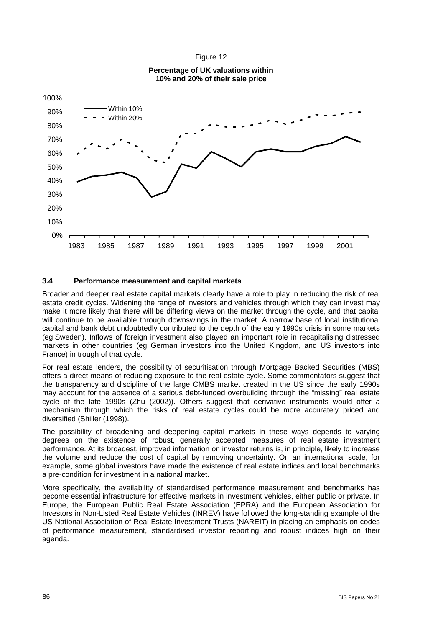

# **Percentage of UK valuations within**

Figure 12

### **3.4 Performance measurement and capital markets**

Broader and deeper real estate capital markets clearly have a role to play in reducing the risk of real estate credit cycles. Widening the range of investors and vehicles through which they can invest may make it more likely that there will be differing views on the market through the cycle, and that capital will continue to be available through downswings in the market. A narrow base of local institutional capital and bank debt undoubtedly contributed to the depth of the early 1990s crisis in some markets (eg Sweden). Inflows of foreign investment also played an important role in recapitalising distressed markets in other countries (eg German investors into the United Kingdom, and US investors into France) in trough of that cycle.

For real estate lenders, the possibility of securitisation through Mortgage Backed Securities (MBS) offers a direct means of reducing exposure to the real estate cycle. Some commentators suggest that the transparency and discipline of the large CMBS market created in the US since the early 1990s may account for the absence of a serious debt-funded overbuilding through the "missing" real estate cycle of the late 1990s (Zhu (2002)). Others suggest that derivative instruments would offer a mechanism through which the risks of real estate cycles could be more accurately priced and diversified (Shiller (1998)).

The possibility of broadening and deepening capital markets in these ways depends to varying degrees on the existence of robust, generally accepted measures of real estate investment performance. At its broadest, improved information on investor returns is, in principle, likely to increase the volume and reduce the cost of capital by removing uncertainty. On an international scale, for example, some global investors have made the existence of real estate indices and local benchmarks a pre-condition for investment in a national market.

More specifically, the availability of standardised performance measurement and benchmarks has become essential infrastructure for effective markets in investment vehicles, either public or private. In Europe, the European Public Real Estate Association (EPRA) and the European Association for Investors in Non-Listed Real Estate Vehicles (INREV) have followed the long-standing example of the US National Association of Real Estate Investment Trusts (NAREIT) in placing an emphasis on codes of performance measurement, standardised investor reporting and robust indices high on their agenda.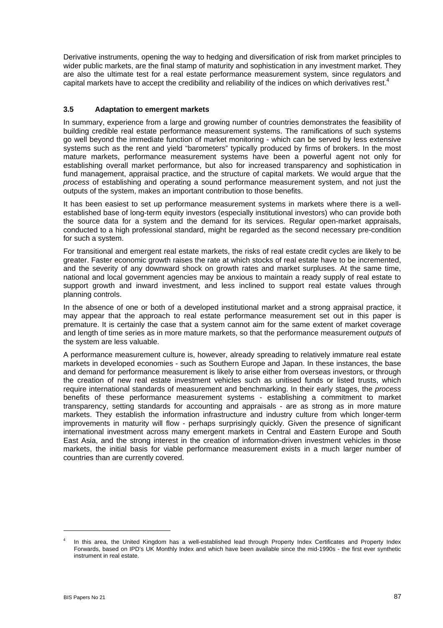Derivative instruments, opening the way to hedging and diversification of risk from market principles to wider public markets, are the final stamp of maturity and sophistication in any investment market. They are also the ultimate test for a real estate performance measurement system, since regulators and capital markets have to accept the credibility and reliability of the indices on which derivatives rest.4

### **3.5 Adaptation to emergent markets**

In summary, experience from a large and growing number of countries demonstrates the feasibility of building credible real estate performance measurement systems. The ramifications of such systems go well beyond the immediate function of market monitoring - which can be served by less extensive systems such as the rent and yield "barometers" typically produced by firms of brokers. In the most mature markets, performance measurement systems have been a powerful agent not only for establishing overall market performance, but also for increased transparency and sophistication in fund management, appraisal practice, and the structure of capital markets. We would argue that the *process* of establishing and operating a sound performance measurement system, and not just the outputs of the system, makes an important contribution to those benefits.

It has been easiest to set up performance measurement systems in markets where there is a wellestablished base of long-term equity investors (especially institutional investors) who can provide both the source data for a system and the demand for its services. Regular open-market appraisals, conducted to a high professional standard, might be regarded as the second necessary pre-condition for such a system.

For transitional and emergent real estate markets, the risks of real estate credit cycles are likely to be greater. Faster economic growth raises the rate at which stocks of real estate have to be incremented, and the severity of any downward shock on growth rates and market surpluses. At the same time, national and local government agencies may be anxious to maintain a ready supply of real estate to support growth and inward investment, and less inclined to support real estate values through planning controls.

In the absence of one or both of a developed institutional market and a strong appraisal practice, it may appear that the approach to real estate performance measurement set out in this paper is premature. It is certainly the case that a system cannot aim for the same extent of market coverage and length of time series as in more mature markets, so that the performance measurement *outputs* of the system are less valuable.

A performance measurement culture is, however, already spreading to relatively immature real estate markets in developed economies - such as Southern Europe and Japan. In these instances, the base and demand for performance measurement is likely to arise either from overseas investors, or through the creation of new real estate investment vehicles such as unitised funds or listed trusts, which require international standards of measurement and benchmarking. In their early stages, the *process*  benefits of these performance measurement systems - establishing a commitment to market transparency, setting standards for accounting and appraisals - are as strong as in more mature markets. They establish the information infrastructure and industry culture from which longer-term improvements in maturity will flow - perhaps surprisingly quickly. Given the presence of significant international investment across many emergent markets in Central and Eastern Europe and South East Asia, and the strong interest in the creation of information-driven investment vehicles in those markets, the initial basis for viable performance measurement exists in a much larger number of countries than are currently covered.

 $\overline{a}$ 

<sup>4</sup> In this area, the United Kingdom has a well-established lead through Property Index Certificates and Property Index Forwards, based on IPD's UK Monthly Index and which have been available since the mid-1990s - the first ever synthetic instrument in real estate.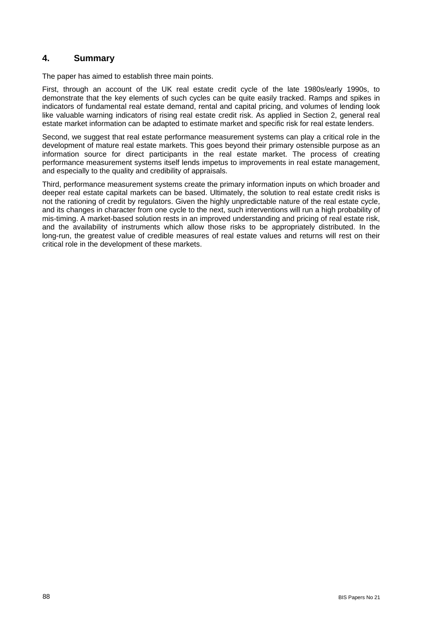## **4. Summary**

The paper has aimed to establish three main points.

First, through an account of the UK real estate credit cycle of the late 1980s/early 1990s, to demonstrate that the key elements of such cycles can be quite easily tracked. Ramps and spikes in indicators of fundamental real estate demand, rental and capital pricing, and volumes of lending look like valuable warning indicators of rising real estate credit risk. As applied in Section 2, general real estate market information can be adapted to estimate market and specific risk for real estate lenders.

Second, we suggest that real estate performance measurement systems can play a critical role in the development of mature real estate markets. This goes beyond their primary ostensible purpose as an information source for direct participants in the real estate market. The process of creating performance measurement systems itself lends impetus to improvements in real estate management, and especially to the quality and credibility of appraisals.

Third, performance measurement systems create the primary information inputs on which broader and deeper real estate capital markets can be based. Ultimately, the solution to real estate credit risks is not the rationing of credit by regulators. Given the highly unpredictable nature of the real estate cycle, and its changes in character from one cycle to the next, such interventions will run a high probability of mis-timing. A market-based solution rests in an improved understanding and pricing of real estate risk, and the availability of instruments which allow those risks to be appropriately distributed. In the long-run, the greatest value of credible measures of real estate values and returns will rest on their critical role in the development of these markets.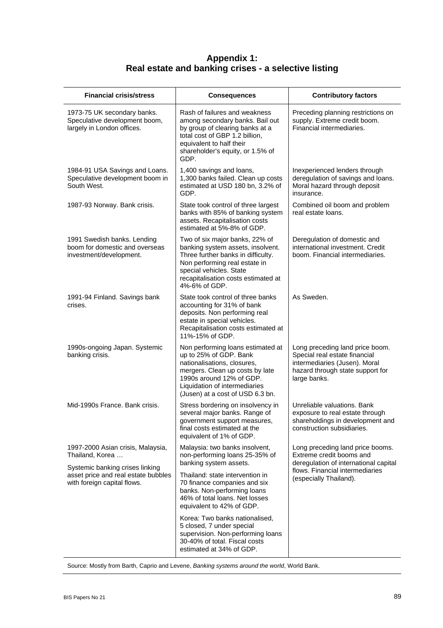# **Appendix 1: Real estate and banking crises - a selective listing**

| <b>Financial crisis/stress</b>                                                                        | <b>Consequences</b>                                                                                                                                                                                                            | <b>Contributory factors</b>                                                                                                                           |
|-------------------------------------------------------------------------------------------------------|--------------------------------------------------------------------------------------------------------------------------------------------------------------------------------------------------------------------------------|-------------------------------------------------------------------------------------------------------------------------------------------------------|
| 1973-75 UK secondary banks.<br>Speculative development boom,<br>largely in London offices.            | Rash of failures and weakness<br>among secondary banks. Bail out<br>by group of clearing banks at a<br>total cost of GBP 1.2 billion,<br>equivalent to half their<br>shareholder's equity, or 1.5% of<br>GDP.                  | Preceding planning restrictions on<br>supply. Extreme credit boom.<br>Financial intermediaries.                                                       |
| 1984-91 USA Savings and Loans.<br>Speculative development boom in<br>South West.                      | 1,400 savings and loans,<br>1,300 banks failed. Clean up costs<br>estimated at USD 180 bn, 3.2% of<br>GDP.                                                                                                                     | Inexperienced lenders through<br>deregulation of savings and loans.<br>Moral hazard through deposit<br>insurance.                                     |
| 1987-93 Norway. Bank crisis.                                                                          | State took control of three largest<br>banks with 85% of banking system<br>assets. Recapitalisation costs<br>estimated at 5%-8% of GDP.                                                                                        | Combined oil boom and problem<br>real estate loans.                                                                                                   |
| 1991 Swedish banks. Lending<br>boom for domestic and overseas<br>investment/development.              | Two of six major banks, 22% of<br>banking system assets, insolvent.<br>Three further banks in difficulty.<br>Non performing real estate in<br>special vehicles. State<br>recapitalisation costs estimated at<br>4%-6% of GDP.  | Deregulation of domestic and<br>international investment. Credit<br>boom. Financial intermediaries.                                                   |
| 1991-94 Finland. Savings bank<br>crises.                                                              | State took control of three banks<br>accounting for 31% of bank<br>deposits. Non performing real<br>estate in special vehicles.<br>Recapitalisation costs estimated at<br>11%-15% of GDP.                                      | As Sweden.                                                                                                                                            |
| 1990s-ongoing Japan. Systemic<br>banking crisis.                                                      | Non performing loans estimated at<br>up to 25% of GDP. Bank<br>nationalisations, closures,<br>mergers. Clean up costs by late<br>1990s around 12% of GDP.<br>Liquidation of intermediaries<br>(Jusen) at a cost of USD 6.3 bn. | Long preceding land price boom.<br>Special real estate financial<br>intermediaries (Jusen). Moral<br>hazard through state support for<br>large banks. |
| Mid-1990s France. Bank crisis.                                                                        | Stress bordering on insolvency in<br>several major banks. Range of<br>government support measures,<br>final costs estimated at the<br>equivalent of 1% of GDP.                                                                 | Unreliable valuations. Bank<br>exposure to real estate through<br>shareholdings in development and<br>construction subsidiaries.                      |
| 1997-2000 Asian crisis, Malaysia,<br>Thailand, Korea                                                  | Malaysia: two banks insolvent,<br>non-performing loans 25-35% of<br>banking system assets.                                                                                                                                     | Long preceding land price booms.<br>Extreme credit booms and<br>deregulation of international capital                                                 |
| Systemic banking crises linking<br>asset price and real estate bubbles<br>with foreign capital flows. | Thailand: state intervention in<br>70 finance companies and six<br>banks. Non-performing loans<br>46% of total loans. Net losses<br>equivalent to 42% of GDP.                                                                  | flows. Financial intermediaries<br>(especially Thailand).                                                                                             |
|                                                                                                       | Korea: Two banks nationalised,<br>5 closed, 7 under special<br>supervision. Non-performing loans<br>30-40% of total. Fiscal costs<br>estimated at 34% of GDP.                                                                  |                                                                                                                                                       |

Source: Mostly from Barth, Caprio and Levene, *Banking systems around the world*, World Bank.